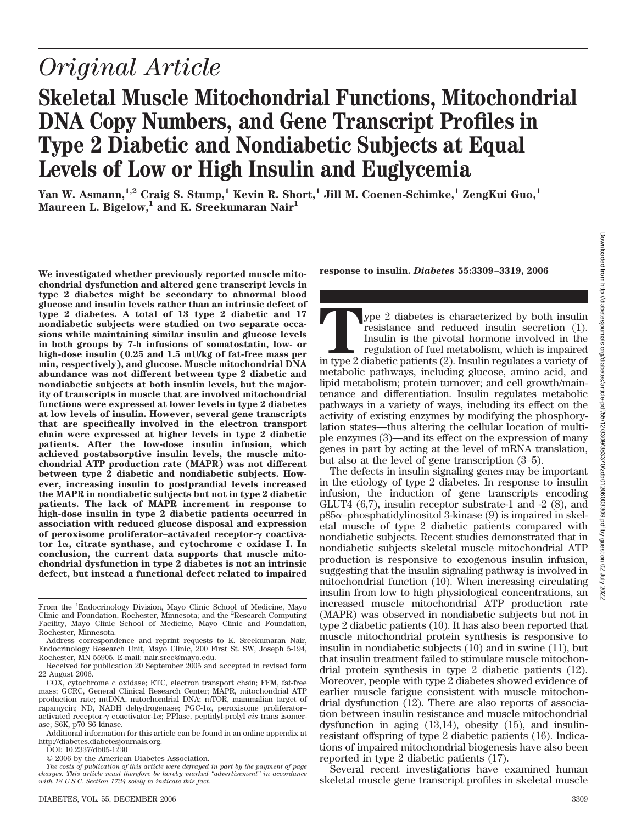# **Skeletal Muscle Mitochondrial Functions, Mitochondrial DNA Copy Numbers, and Gene Transcript Profiles in Type 2 Diabetic and Nondiabetic Subjects at Equal Levels of Low or High Insulin and Euglycemia**

**Yan W. Asmann,1,2 Craig S. Stump,1 Kevin R. Short,1 Jill M. Coenen-Schimke,1 ZengKui Guo,1** Maureen L. Bigelow,<sup>1</sup> and K. Sreekumaran Nair<sup>1</sup>

**We investigated whether previously reported muscle mitochondrial dysfunction and altered gene transcript levels in type 2 diabetes might be secondary to abnormal blood glucose and insulin levels rather than an intrinsic defect of type 2 diabetes. A total of 13 type 2 diabetic and 17 nondiabetic subjects were studied on two separate occasions while maintaining similar insulin and glucose levels in both groups by 7-h infusions of somatostatin, low- or high-dose insulin (0.25 and 1.5 mU/kg of fat-free mass per min, respectively), and glucose. Muscle mitochondrial DNA abundance was not different between type 2 diabetic and nondiabetic subjects at both insulin levels, but the majority of transcripts in muscle that are involved mitochondrial functions were expressed at lower levels in type 2 diabetes at low levels of insulin. However, several gene transcripts that are specifically involved in the electron transport chain were expressed at higher levels in type 2 diabetic patients. After the low-dose insulin infusion, which achieved postabsorptive insulin levels, the muscle mitochondrial ATP production rate (MAPR) was not different between type 2 diabetic and nondiabetic subjects. However, increasing insulin to postprandial levels increased the MAPR in nondiabetic subjects but not in type 2 diabetic patients. The lack of MAPR increment in response to high-dose insulin in type 2 diabetic patients occurred in association with reduced glucose disposal and expression of peroxisome proliferator-activated receptor-γ coactivator 1**-**, citrate synthase, and cytochrome c oxidase I. In conclusion, the current data supports that muscle mitochondrial dysfunction in type 2 diabetes is not an intrinsic defect, but instead a functional defect related to impaired**

From the <sup>1</sup>Endocrinology Division, Mayo Clinic School of Medicine, Mayo Clinic and Foundation, Rochester, Minnesota; and the <sup>2</sup> Research Computing Facility, Mayo Clinic School of Medicine, Mayo Clinic and Foundation, Rochester, Minnesota.

Address correspondence and reprint requests to K. Sreekumaran Nair, Endocrinology Research Unit, Mayo Clinic, 200 First St. SW, Joseph 5-194, Rochester, MN 55905. E-mail: nair.sree@mayo.edu.

Received for publication 20 September 2005 and accepted in revised form 22 August 2006.

DOI: 10.2337/db05-1230

© 2006 by the American Diabetes Association.

**response to insulin.** *Diabetes* **55:3309 –3319, 2006**

**Type 2 diabetes is characterized by both insulin resistance and reduced insulin secretion (1). Insulin is the pivotal hormone involved in the regulation of fuel metabolism, which is impaired in type 2 diabetic patients (2** resistance and reduced insulin secretion (1). Insulin is the pivotal hormone involved in the regulation of fuel metabolism, which is impaired metabolic pathways, including glucose, amino acid, and lipid metabolism; protein turnover; and cell growth/maintenance and differentiation. Insulin regulates metabolic pathways in a variety of ways, including its effect on the activity of existing enzymes by modifying the phosphorylation states—thus altering the cellular location of multiple enzymes (3)—and its effect on the expression of many genes in part by acting at the level of mRNA translation, but also at the level of gene transcription (3–5).

The defects in insulin signaling genes may be important in the etiology of type 2 diabetes. In response to insulin infusion, the induction of gene transcripts encoding GLUT4 (6,7), insulin receptor substrate-1 and -2 (8), and  $p85\alpha$ –phosphatidylinositol 3-kinase (9) is impaired in skeletal muscle of type 2 diabetic patients compared with nondiabetic subjects. Recent studies demonstrated that in nondiabetic subjects skeletal muscle mitochondrial ATP production is responsive to exogenous insulin infusion, suggesting that the insulin signaling pathway is involved in mitochondrial function (10). When increasing circulating insulin from low to high physiological concentrations, an increased muscle mitochondrial ATP production rate (MAPR) was observed in nondiabetic subjects but not in type 2 diabetic patients (10). It has also been reported that muscle mitochondrial protein synthesis is responsive to insulin in nondiabetic subjects (10) and in swine (11), but that insulin treatment failed to stimulate muscle mitochondrial protein synthesis in type 2 diabetic patients (12). Moreover, people with type 2 diabetes showed evidence of earlier muscle fatigue consistent with muscle mitochondrial dysfunction (12). There are also reports of association between insulin resistance and muscle mitochondrial dysfunction in aging (13,14), obesity (15), and insulinresistant offspring of type 2 diabetic patients (16). Indications of impaired mitochondrial biogenesis have also been reported in type 2 diabetic patients (17).

Several recent investigations have examined human skeletal muscle gene transcript profiles in skeletal muscle

COX, cytochrome c oxidase; ETC, electron transport chain; FFM, fat-free mass; GCRC, General Clinical Research Center; MAPR, mitochondrial ATP production rate; mtDNA, mitochondrial DNA; mTOR, mammalian target of rapamycin; ND, NADH dehydrogenase; PGC-1 $\alpha$ , peroxisome proliferatoractivated receptor- $\gamma$  coactivator-1 $\alpha$ ; PPIase, peptidyl-prolyl *cis*-trans isomerase; S6K, p70 S6 kinase.

Additional information for this article can be found in an online appendix at http://diabetes.diabetesjournals.org.

*The costs of publication of this article were defrayed in part by the payment of page charges. This article must therefore be hereby marked "advertisement" in accordance with 18 U.S.C. Section 1734 solely to indicate this fact.*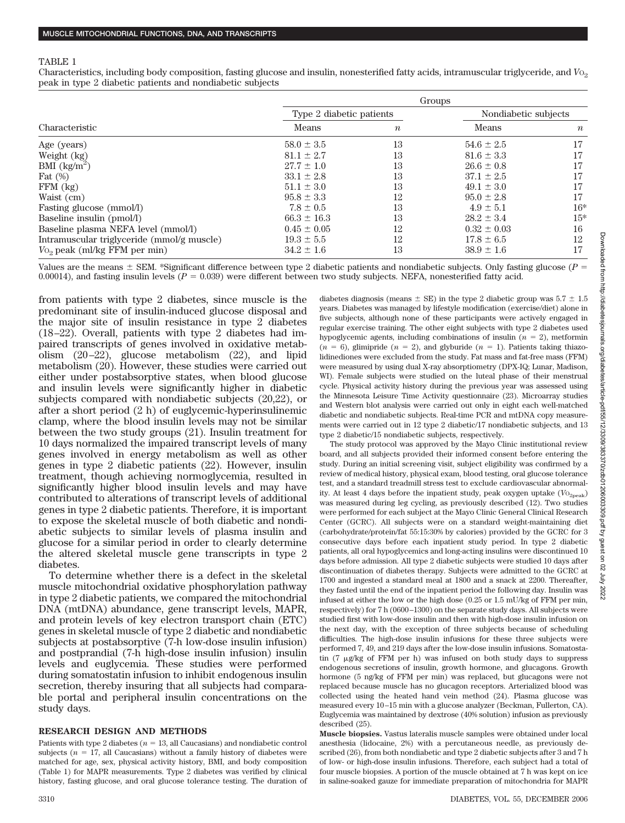### TABLE 1

Characteristics, including body composition, fasting glucose and insulin, nonesterified fatty acids, intramuscular triglyceride, and *V*O2 peak in type 2 diabetic patients and nondiabetic subjects

|                                            | Groups                   |                  |                      |                  |  |  |
|--------------------------------------------|--------------------------|------------------|----------------------|------------------|--|--|
|                                            | Type 2 diabetic patients |                  | Nondiabetic subjects |                  |  |  |
| Characteristic                             | Means                    | $\boldsymbol{n}$ | Means                | $\boldsymbol{n}$ |  |  |
| Age (years)                                | $58.0 \pm 3.5$           | 13               | $54.6 \pm 2.5$       | 17               |  |  |
| Weight (kg)                                | $81.1 \pm 2.7$           | 13               | $81.6 \pm 3.3$       | 17               |  |  |
| BMI $\left(\frac{kg}{m^2}\right)$          | $27.7 \pm 1.0$           | 13               | $26.6 \pm 0.8$       | 17               |  |  |
| Fat $(\%)$                                 | $33.1 \pm 2.8$           | 13               | $37.1 \pm 2.5$       | 17               |  |  |
| $FFM$ $(kg)$                               | $51.1 \pm 3.0$           | 13               | $49.1 \pm 3.0$       | 17               |  |  |
| Waist (cm)                                 | $95.8 \pm 3.3$           | 12               | $95.0 \pm 2.8$       | 17               |  |  |
| Fasting glucose (mmol/l)                   | $7.8 \pm 0.5$            | 13               | $4.9 \pm 5.1$        | $16*$            |  |  |
| Baseline insulin (pmol/l)                  | $66.3 \pm 16.3$          | 13               | $28.2 \pm 3.4$       | $15*$            |  |  |
| Baseline plasma NEFA level (mmol/l)        | $0.45 \pm 0.05$          | 12               | $0.32 \pm 0.03$      | 16               |  |  |
| Intramuscular triglyceride (mmol/g muscle) | $19.3 \pm 5.5$           | 12               | $17.8 \pm 6.5$       | 12               |  |  |
| V <sub>0</sub> , peak (ml/kg FFM per min)  | $34.2 \pm 1.6$           | 13               | $38.9 \pm 1.6$       | 17               |  |  |

Values are the means  $\pm$  SEM. \*Significant difference between type 2 diabetic patients and nondiabetic subjects. Only fasting glucose ( $P =$ 0.00014), and fasting insulin levels  $(P = 0.039)$  were different between two study subjects. NEFA, nonesterified fatty acid.

from patients with type 2 diabetes, since muscle is the predominant site of insulin-induced glucose disposal and the major site of insulin resistance in type 2 diabetes (18–22). Overall, patients with type 2 diabetes had impaired transcripts of genes involved in oxidative metabolism (20–22), glucose metabolism (22), and lipid metabolism (20). However, these studies were carried out either under postabsorptive states, when blood glucose and insulin levels were significantly higher in diabetic subjects compared with nondiabetic subjects (20,22), or after a short period (2 h) of euglycemic-hyperinsulinemic clamp, where the blood insulin levels may not be similar between the two study groups (21). Insulin treatment for 10 days normalized the impaired transcript levels of many genes involved in energy metabolism as well as other genes in type 2 diabetic patients (22). However, insulin treatment, though achieving normoglycemia, resulted in significantly higher blood insulin levels and may have contributed to alterations of transcript levels of additional genes in type 2 diabetic patients. Therefore, it is important to expose the skeletal muscle of both diabetic and nondiabetic subjects to similar levels of plasma insulin and glucose for a similar period in order to clearly determine the altered skeletal muscle gene transcripts in type 2 diabetes.

To determine whether there is a defect in the skeletal muscle mitochondrial oxidative phosphorylation pathway in type 2 diabetic patients, we compared the mitochondrial DNA (mtDNA) abundance, gene transcript levels, MAPR, and protein levels of key electron transport chain (ETC) genes in skeletal muscle of type 2 diabetic and nondiabetic subjects at postabsorptive (7-h low-dose insulin infusion) and postprandial (7-h high-dose insulin infusion) insulin levels and euglycemia. These studies were performed during somatostatin infusion to inhibit endogenous insulin secretion, thereby insuring that all subjects had comparable portal and peripheral insulin concentrations on the study days.

### **RESEARCH DESIGN AND METHODS**

Patients with type 2 diabetes  $(n = 13,$  all Caucasians) and nondiabetic control subjects ( $n = 17$ , all Caucasians) without a family history of diabetes were matched for age, sex, physical activity history, BMI, and body composition (Table 1) for MAPR measurements. Type 2 diabetes was verified by clinical history, fasting glucose, and oral glucose tolerance testing. The duration of diabetes diagnosis (means  $\pm$  SE) in the type 2 diabetic group was 5.7  $\pm$  1.5 years. Diabetes was managed by lifestyle modification (exercise/diet) alone in five subjects, although none of these participants were actively engaged in regular exercise training. The other eight subjects with type 2 diabetes used hypoglycemic agents, including combinations of insulin  $(n = 2)$ , metformin  $(n = 6)$ , glimipride  $(n = 2)$ , and glyburide  $(n = 1)$ . Patients taking thiazolidinediones were excluded from the study. Fat mass and fat-free mass (FFM) were measured by using dual X-ray absorptiometry (DPX-IQ; Lunar, Madison, WI). Female subjects were studied on the luteal phase of their menstrual cycle. Physical activity history during the previous year was assessed using the Minnesota Leisure Time Activity questionnaire (23). Microarray studies and Western blot analysis were carried out only in eight each well-matched diabetic and nondiabetic subjects. Real-time PCR and mtDNA copy measurements were carried out in 12 type 2 diabetic/17 nondiabetic subjects, and 13 type 2 diabetic/15 nondiabetic subjects, respectively.

The study protocol was approved by the Mayo Clinic institutional review board, and all subjects provided their informed consent before entering the study. During an initial screening visit, subject eligibility was confirmed by a review of medical history, physical exam, blood testing, oral glucose tolerance test, and a standard treadmill stress test to exclude cardiovascular abnormality. At least 4 days before the inpatient study, peak oxygen uptake ( $V_{O_{20eak}}$ ) was measured during leg cycling, as previously described (12). Two studies were performed for each subject at the Mayo Clinic General Clinical Research Center (GCRC). All subjects were on a standard weight-maintaining diet (carbohydrate/protein/fat 55:15:30% by calories) provided by the GCRC for 3 consecutive days before each inpatient study period. In type 2 diabetic patients, all oral hypoglycemics and long-acting insulins were discontinued 10 days before admission. All type 2 diabetic subjects were studied 10 days after discontinuation of diabetes therapy. Subjects were admitted to the GCRC at 1700 and ingested a standard meal at 1800 and a snack at 2200. Thereafter, they fasted until the end of the inpatient period the following day. Insulin was infused at either the low or the high dose (0.25 or 1.5 mU/kg of FFM per min, respectively) for 7 h (0600–1300) on the separate study days. All subjects were studied first with low-dose insulin and then with high-dose insulin infusion on the next day, with the exception of three subjects because of scheduling difficulties. The high-dose insulin infusions for these three subjects were performed 7, 49, and 219 days after the low-dose insulin infusions. Somatostatin  $(7 \mu g/kg$  of FFM per h) was infused on both study days to suppress endogenous secretions of insulin, growth hormone, and glucagons. Growth hormone (5 ng/kg of FFM per min) was replaced, but glucagons were not replaced because muscle has no glucagon receptors. Arterialized blood was collected using the heated hand vein method (24). Plasma glucose was measured every 10–15 min with a glucose analyzer (Beckman, Fullerton, CA). Euglycemia was maintained by dextrose (40% solution) infusion as previously described (25).

**Muscle biopsies.** Vastus lateralis muscle samples were obtained under local anesthesia (lidocaine, 2%) with a percutaneous needle, as previously described (26), from both nondiabetic and type 2 diabetic subjects after 3 and 7 h of low- or high-dose insulin infusions. Therefore, each subject had a total of four muscle biopsies. A portion of the muscle obtained at 7 h was kept on ice in saline-soaked gauze for immediate preparation of mitochondria for MAPR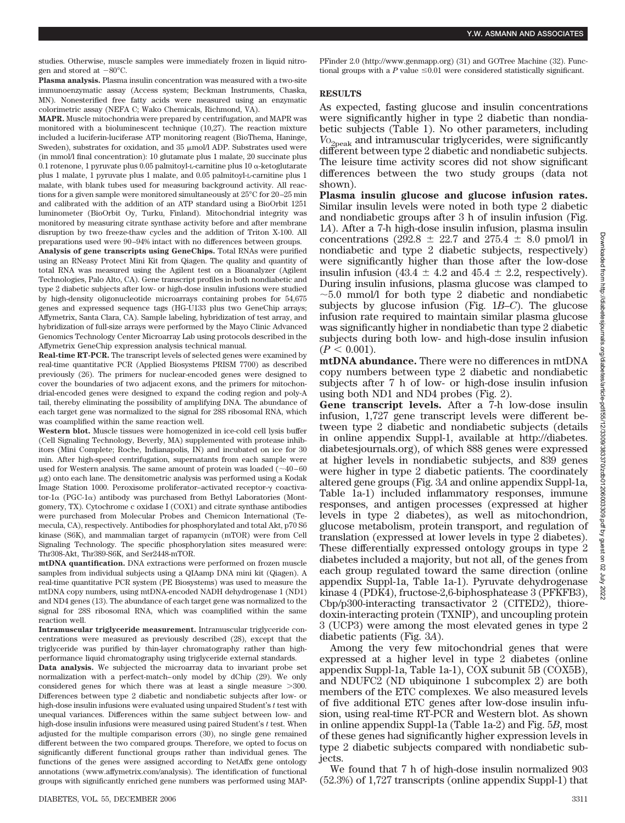studies. Otherwise, muscle samples were immediately frozen in liquid nitrogen and stored at  $-80^{\circ}$ C.

**Plasma analysis.** Plasma insulin concentration was measured with a two-site immunoenzymatic assay (Access system; Beckman Instruments, Chaska, MN). Nonesterified free fatty acids were measured using an enzymatic colorimetric assay (NEFA C; Wako Chemicals, Richmond, VA).

**MAPR.** Muscle mitochondria were prepared by centrifugation, and MAPR was monitored with a bioluminescent technique (10,27). The reaction mixture included a luciferin-luciferase ATP monitoring reagent (BioThema, Haninge, Sweden), substrates for oxidation, and  $35 \mu$ mol/l ADP. Substrates used were (in mmol/l final concentration): 10 glutamate plus 1 malate, 20 succinate plus 0.1 rotenone, 1 pyruvate plus 0.05 palmitoyl-L-carnitine plus 10  $\alpha$ -ketoglutarate plus 1 malate, 1 pyruvate plus 1 malate, and 0.05 palmitoyl-L-carnitine plus 1 malate, with blank tubes used for measuring background activity. All reactions for a given sample were monitored simultaneously at 25°C for 20–25 min and calibrated with the addition of an ATP standard using a BioOrbit 1251 luminometer (BioOrbit Oy, Turku, Finland). Mitochondrial integrity was monitored by measuring citrate synthase activity before and after membrane disruption by two freeze-thaw cycles and the addition of Triton X-100. All preparations used were 90–94% intact with no differences between groups.

**Analysis of gene transcripts using GeneChips.** Total RNAs were purified using an RNeasy Protect Mini Kit from Qiagen. The quality and quantity of total RNA was measured using the Agilent test on a Bioanalyzer (Agilent Technologies, Palo Alto, CA). Gene transcript profiles in both nondiabetic and type 2 diabetic subjects after low- or high-dose insulin infusions were studied by high-density oligonucleotide microarrays containing probes for 54,675 genes and expressed sequence tags (HG-U133 plus two GeneChip arrays; Affymetrix, Santa Clara, CA). Sample labeling, hybridization of test array, and hybridization of full-size arrays were performed by the Mayo Clinic Advanced Genomics Technology Center Microarray Lab using protocols described in the Affymetrix GeneChip expression analysis technical manual.

**Real-time RT-PCR.** The transcript levels of selected genes were examined by real-time quantitative PCR (Applied Biosystems PRISM 7700) as described previously (26). The primers for nuclear-encoded genes were designed to cover the boundaries of two adjacent exons, and the primers for mitochondrial-encoded genes were designed to expand the coding region and poly-A tail, thereby eliminating the possibility of amplifying DNA. The abundance of each target gene was normalized to the signal for 28S ribosomal RNA, which was coamplified within the same reaction well.

**Western blot.** Muscle tissues were homogenized in ice-cold cell lysis buffer (Cell Signaling Technology, Beverly, MA) supplemented with protease inhibitors (Mini Complete; Roche, Indianapolis, IN) and incubated on ice for 30 min. After high-speed centrifugation, supernatants from each sample were used for Western analysis. The same amount of protein was loaded  $(\sim40-60$ g) onto each lane. The densitometric analysis was performed using a Kodak Image Station 1000. Peroxisome proliferator-activated receptor- $\gamma$  coactivator- $1\alpha$  (PGC- $1\alpha$ ) antibody was purchased from Bethyl Laboratories (Montgomery, TX). Cytochrome c oxidase I (COX1) and citrate synthase antibodies were purchased from Molecular Probes and Chemicon International (Temecula, CA), respectively. Antibodies for phosphorylated and total Akt, p70 S6 kinase (S6K), and mammalian target of rapamycin (mTOR) were from Cell Signaling Technology. The specific phosphorylation sites measured were: Thr308-Akt, Thr389-S6K, and Ser2448-mTOR.

**mtDNA quantification.** DNA extractions were performed on frozen muscle samples from individual subjects using a QIAamp DNA mini kit (Qiagen). A real-time quantitative PCR system (PE Biosystems) was used to measure the mtDNA copy numbers, using mtDNA-encoded NADH dehydrogenase 1 (ND1) and ND4 genes (13). The abundance of each target gene was normalized to the signal for 28S ribosomal RNA, which was coamplified within the same reaction well.

**Intramuscular triglyceride measurement.** Intramuscular triglyceride concentrations were measured as previously described (28), except that the triglyceride was purified by thin-layer chromatography rather than highperformance liquid chromatography using triglyceride external standards.

**Data analysis.** We subjected the microarray data to invariant probe set normalization with a perfect-match–only model by dChip (29). We only considered genes for which there was at least a single measure 300. Differences between type 2 diabetic and nondiabetic subjects after low- or high-dose insulin infusions were evaluated using unpaired Student's *t* test with unequal variances. Differences within the same subject between low- and high-dose insulin infusions were measured using paired Student's *t* test. When adjusted for the multiple comparison errors (30), no single gene remained different between the two compared groups. Therefore, we opted to focus on significantly different functional groups rather than individual genes. The functions of the genes were assigned according to NetAffx gene ontology annotations (www.affymetrix.com/analysis). The identification of functional groups with significantly enriched gene numbers was performed using MAP-

PFinder 2.0 (http://www.genmapp.org) (31) and GOTree Machine (32). Functional groups with a  $P$  value  $\leq 0.01$  were considered statistically significant.

## **RESULTS**

As expected, fasting glucose and insulin concentrations were significantly higher in type 2 diabetic than nondiabetic subjects (Table 1). No other parameters, including *V*O2peak and intramuscular triglycerides, were significantly different between type 2 diabetic and nondiabetic subjects. The leisure time activity scores did not show significant differences between the two study groups (data not shown).

**Plasma insulin glucose and glucose infusion rates.** Similar insulin levels were noted in both type 2 diabetic and nondiabetic groups after 3 h of insulin infusion (Fig. 1*A*). After a 7-h high-dose insulin infusion, plasma insulin concentrations (292.8  $\pm$  22.7 and 275.4  $\pm$  8.0 pmol/l in nondiabetic and type 2 diabetic subjects, respectively) were significantly higher than those after the low-dose insulin infusion (43.4  $\pm$  4.2 and 45.4  $\pm$  2.2, respectively). During insulin infusions, plasma glucose was clamped to  $\sim$  5.0 mmol/l for both type 2 diabetic and nondiabetic subjects by glucose infusion (Fig. 1*B*–*C*). The glucose infusion rate required to maintain similar plasma glucose was significantly higher in nondiabetic than type 2 diabetic subjects during both low- and high-dose insulin infusion  $(P < 0.001)$ .

**mtDNA abundance.** There were no differences in mtDNA copy numbers between type 2 diabetic and nondiabetic subjects after 7 h of low- or high-dose insulin infusion using both ND1 and ND4 probes (Fig. 2).

**Gene transcript levels.** After a 7-h low-dose insulin infusion, 1,727 gene transcript levels were different between type 2 diabetic and nondiabetic subjects (details in online appendix Suppl-1, available at http://diabetes. diabetesjournals.org), of which 888 genes were expressed at higher levels in nondiabetic subjects, and 839 genes were higher in type 2 diabetic patients. The coordinately altered gene groups (Fig. 3*A* and online appendix Suppl-1a, Table 1a-1) included inflammatory responses, immune responses, and antigen processes (expressed at higher levels in type 2 diabetes), as well as mitochondrion, glucose metabolism, protein transport, and regulation of translation (expressed at lower levels in type 2 diabetes). These differentially expressed ontology groups in type 2 diabetes included a majority, but not all, of the genes from each group regulated toward the same direction (online appendix Suppl-1a, Table 1a-1). Pyruvate dehydrogenase kinase 4 (PDK4), fructose-2,6-biphosphatease 3 (PFKFB3), Cbp/p300-interacting transactivator 2 (CITED2), thioredoxin-interacting protein (TXNIP), and uncoupling protein 3 (UCP3) were among the most elevated genes in type 2 diabetic patients (Fig. 3*A*).

Among the very few mitochondrial genes that were expressed at a higher level in type 2 diabetes (online appendix Suppl-1a, Table 1a-1), COX subunit 5B (COX5B), and NDUFC2 (ND ubiquinone 1 subcomplex 2) are both members of the ETC complexes. We also measured levels of five additional ETC genes after low-dose insulin infusion, using real-time RT-PCR and Western blot. As shown in online appendix Suppl-1a (Table 1a-2) and Fig. 5*B*, most of these genes had significantly higher expression levels in type 2 diabetic subjects compared with nondiabetic subjects.

We found that 7 h of high-dose insulin normalized 903 (52.3%) of 1,727 transcripts (online appendix Suppl-1) that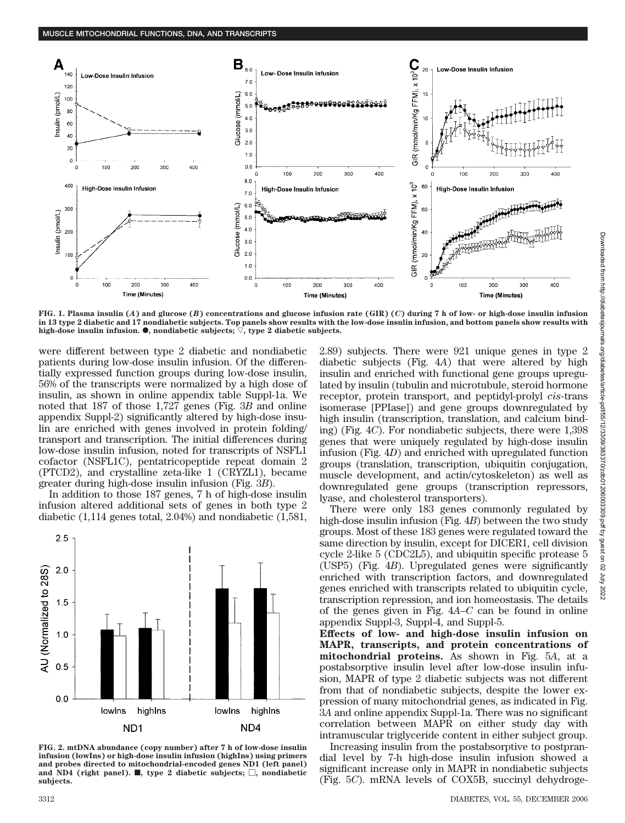

**FIG. 1. Plasma insulin (***A***) and glucose (***B***) concentrations and glucose infusion rate (GIR) (***C***) during 7 h of low- or high-dose insulin infusion in 13 type 2 diabetic and 17 nondiabetic subjects. Top panels show results with the low-dose insulin infusion, and bottom panels show results with** high-dose insulin infusion.  $\bullet$ , nondiabetic subjects;  $\triangledown$ , type 2 diabetic subjects.

were different between type 2 diabetic and nondiabetic patients during low-dose insulin infusion. Of the differentially expressed function groups during low-dose insulin, 56% of the transcripts were normalized by a high dose of insulin, as shown in online appendix table Suppl-1a. We noted that 187 of those 1,727 genes (Fig. 3*B* and online appendix Suppl-2) significantly altered by high-dose insulin are enriched with genes involved in protein folding/ transport and transcription. The initial differences during low-dose insulin infusion, noted for transcripts of NSFL1 cofactor (NSFL1C), pentatricopeptide repeat domain 2 (PTCD2), and crystalline zeta-like 1 (CRYZL1), became greater during high-dose insulin infusion (Fig. 3*B*).

In addition to those 187 genes, 7 h of high-dose insulin infusion altered additional sets of genes in both type 2 diabetic (1,114 genes total, 2.04%) and nondiabetic (1,581,



**FIG. 2. mtDNA abundance (copy number) after 7 h of low-dose insulin infusion (lowIns) or high-dose insulin infusion (highIns) using primers and probes directed to mitochondrial-encoded genes ND1 (left panel)** and ND4 (right panel).  $\blacksquare$ , type 2 diabetic subjects;  $\Box$ , nondiabetic **subjects.**

2.89) subjects. There were 921 unique genes in type 2 diabetic subjects (Fig. 4*A*) that were altered by high insulin and enriched with functional gene groups upregulated by insulin (tubulin and microtubule, steroid hormone receptor, protein transport, and peptidyl-prolyl *cis-*trans isomerase [PPIase]) and gene groups downregulated by high insulin (transcription, translation, and calcium binding) (Fig. 4*C*). For nondiabetic subjects, there were 1,398 genes that were uniquely regulated by high-dose insulin infusion (Fig. 4*D*) and enriched with upregulated function groups (translation, transcription, ubiquitin conjugation, muscle development, and actin/cytoskeleton) as well as downregulated gene groups (transcription repressors, lyase, and cholesterol transporters).

There were only 183 genes commonly regulated by high-dose insulin infusion (Fig. 4*B*) between the two study groups. Most of these 183 genes were regulated toward the same direction by insulin, except for DICER1, cell division cycle 2-like 5 (CDC2L5), and ubiquitin specific protease 5 (USP5) (Fig. 4*B*). Upregulated genes were significantly enriched with transcription factors, and downregulated genes enriched with transcripts related to ubiquitin cycle, transcription repression, and ion homeostasis. The details of the genes given in Fig. 4*A*–*C* can be found in online appendix Suppl-3, Suppl-4, and Suppl-5.

**Effects of low- and high-dose insulin infusion on MAPR, transcripts, and protein concentrations of mitochondrial proteins.** As shown in Fig. 5*A*, at a postabsorptive insulin level after low-dose insulin infusion, MAPR of type 2 diabetic subjects was not different from that of nondiabetic subjects, despite the lower expression of many mitochondrial genes, as indicated in Fig. 3*A* and online appendix Suppl-1a. There was no significant correlation between MAPR on either study day with intramuscular triglyceride content in either subject group.

Increasing insulin from the postabsorptive to postprandial level by 7-h high-dose insulin infusion showed a significant increase only in MAPR in nondiabetic subjects (Fig. 5*C*). mRNA levels of COX5B, succinyl dehydroge-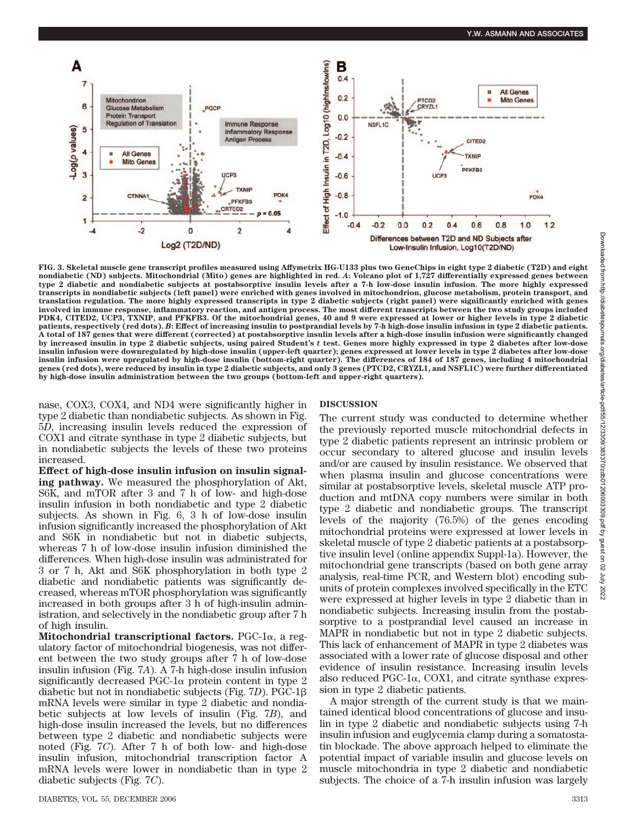

**FIG. 3. Skeletal muscle gene transcript profiles measured using Affymetrix HG-U133 plus two GeneChips in eight type 2 diabetic (T2D) and eight nondiabetic (ND) subjects. Mitochondrial (Mito) genes are highlighted in red.** *A***: Volcano plot of 1,727 differentially expressed genes between type 2 diabetic and nondiabetic subjects at postabsorptive insulin levels after a 7-h low-dose insulin infusion. The more highly expressed transcripts in nondiabetic subjects (left panel) were enriched with genes involved in mitochondrion, glucose metabolism, protein transport, and translation regulation. The more highly expressed transcripts in type 2 diabetic subjects (right panel) were significantly enriched with genes involved in immune response, inflammatory reaction, and antigen process. The most different transcripts between the two study groups included PDK4, CITED2, UCP3, TXNIP, and PFKFB3. Of the mitochondrial genes, 40 and 9 were expressed at lower or higher levels in type 2 diabetic patients, respectively (red dots).** *B***: Effect of increasing insulin to postprandial levels by 7-h high-dose insulin infusion in type 2 diabetic patients. A total of 187 genes that were different (corrected) at postabsorptive insulin levels after a high-dose insulin infusion were significantly changed by increased insulin in type 2 diabetic subjects, using paired Student's** *t* **test. Genes more highly expressed in type 2 diabetes after low-dose insulin infusion were downregulated by high-dose insulin (upper-left quarter); genes expressed at lower levels in type 2 diabetes after low-dose insulin infusion were upregulated by high-dose insulin (bottom-right quarter). The differences of 184 of 187 genes, including 4 mitochondrial genes (red dots), were reduced by insulin in type 2 diabetic subjects, and only 3 genes (PTCD2, CRYZL1, and NSFL1C) were further differentiated by high-dose insulin administration between the two groups (bottom-left and upper-right quarters).**

nase, COX3, COX4, and ND4 were significantly higher in type 2 diabetic than nondiabetic subjects. As shown in Fig. 5*D*, increasing insulin levels reduced the expression of COX1 and citrate synthase in type 2 diabetic subjects, but in nondiabetic subjects the levels of these two proteins increased.

**Effect of high-dose insulin infusion on insulin signaling pathway.** We measured the phosphorylation of Akt, S6K, and mTOR after 3 and 7 h of low- and high-dose insulin infusion in both nondiabetic and type 2 diabetic subjects. As shown in Fig. 6, 3 h of low-dose insulin infusion significantly increased the phosphorylation of Akt and S6K in nondiabetic but not in diabetic subjects, whereas 7 h of low-dose insulin infusion diminished the differences. When high-dose insulin was administrated for 3 or 7 h, Akt and S6K phosphorylation in both type 2 diabetic and nondiabetic patients was significantly decreased, whereas mTOR phosphorylation was significantly increased in both groups after 3 h of high-insulin administration, and selectively in the nondiabetic group after 7 h of high insulin.

**Mitochondrial transcriptional factors.** PGC-1 $\alpha$ , a regulatory factor of mitochondrial biogenesis, was not different between the two study groups after 7 h of low-dose insulin infusion (Fig. 7*A*). A 7-h high-dose insulin infusion significantly decreased PGC-1 $\alpha$  protein content in type 2 diabetic but not in nondiabetic subjects (Fig. 7*D*). PGC-1 mRNA levels were similar in type 2 diabetic and nondiabetic subjects at low levels of insulin (Fig. 7*B*), and high-dose insulin increased the levels, but no differences between type 2 diabetic and nondiabetic subjects were noted (Fig. 7*C*). After 7 h of both low- and high-dose insulin infusion, mitochondrial transcription factor A mRNA levels were lower in nondiabetic than in type 2 diabetic subjects (Fig. 7*C*).

## **DISCUSSION**

The current study was conducted to determine whether the previously reported muscle mitochondrial defects in type 2 diabetic patients represent an intrinsic problem or occur secondary to altered glucose and insulin levels and/or are caused by insulin resistance. We observed that when plasma insulin and glucose concentrations were similar at postabsorptive levels, skeletal muscle ATP production and mtDNA copy numbers were similar in both type 2 diabetic and nondiabetic groups. The transcript levels of the majority (76.5%) of the genes encoding mitochondrial proteins were expressed at lower levels in skeletal muscle of type 2 diabetic patients at a postabsorptive insulin level (online appendix Suppl-1a). However, the mitochondrial gene transcripts (based on both gene array analysis, real-time PCR, and Western blot) encoding subunits of protein complexes involved specifically in the ETC were expressed at higher levels in type 2 diabetic than in nondiabetic subjects. Increasing insulin from the postabsorptive to a postprandial level caused an increase in MAPR in nondiabetic but not in type 2 diabetic subjects. This lack of enhancement of MAPR in type 2 diabetes was associated with a lower rate of glucose disposal and other evidence of insulin resistance. Increasing insulin levels also reduced PGC-1 $\alpha$ , COX1, and citrate synthase expression in type 2 diabetic patients.

A major strength of the current study is that we maintained identical blood concentrations of glucose and insulin in type 2 diabetic and nondiabetic subjects using 7-h insulin infusion and euglycemia clamp during a somatostatin blockade. The above approach helped to eliminate the potential impact of variable insulin and glucose levels on muscle mitochondria in type 2 diabetic and nondiabetic subjects. The choice of a 7-h insulin infusion was largely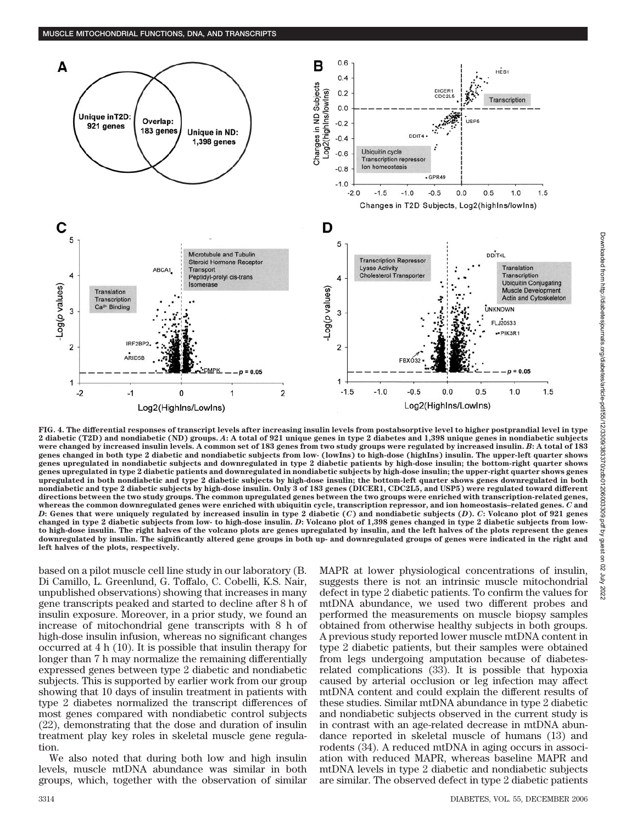

**FIG. 4. The differential responses of transcript levels after increasing insulin levels from postabsorptive level to higher postprandial level in type 2 diabetic (T2D) and nondiabetic (ND) groups.** *A***: A total of 921 unique genes in type 2 diabetes and 1,398 unique genes in nondiabetic subjects were changed by increased insulin levels. A common set of 183 genes from two study groups were regulated by increased insulin.** *B***: A total of 183 genes changed in both type 2 diabetic and nondiabetic subjects from low- (lowIns) to high-dose (highIns) insulin. The upper-left quarter shows genes upregulated in nondiabetic subjects and downregulated in type 2 diabetic patients by high-dose insulin; the bottom-right quarter shows genes upregulated in type 2 diabetic patients and downregulated in nondiabetic subjects by high-dose insulin; the upper-right quarter shows genes upregulated in both nondiabetic and type 2 diabetic subjects by high-dose insulin; the bottom-left quarter shows genes downregulated in both nondiabetic and type 2 diabetic subjects by high-dose insulin. Only 3 of 183 genes (DICER1, CDC2L5, and USP5) were regulated toward different directions between the two study groups. The common upregulated genes between the two groups were enriched with transcription-related genes, whereas the common downregulated genes were enriched with ubiquitin cycle, transcription repressor, and ion homeostasis–related genes.** *C* **and** *D***: Genes that were uniquely regulated by increased insulin in type 2 diabetic (***C***) and nondiabetic subjects (***D***).** *C***: Volcano plot of 921 genes changed in type 2 diabetic subjects from low- to high-dose insulin.** *D***: Volcano plot of 1,398 genes changed in type 2 diabetic subjects from lowto high-dose insulin. The right halves of the volcano plots are genes upregulated by insulin, and the left halves of the plots represent the genes downregulated by insulin. The significantly altered gene groups in both up- and downregulated groups of genes were indicated in the right and left halves of the plots, respectively.**

based on a pilot muscle cell line study in our laboratory (B. Di Camillo, L. Greenlund, G. Toffalo, C. Cobelli, K.S. Nair, unpublished observations) showing that increases in many gene transcripts peaked and started to decline after 8 h of insulin exposure. Moreover, in a prior study, we found an increase of mitochondrial gene transcripts with 8 h of high-dose insulin infusion, whereas no significant changes occurred at 4 h (10). It is possible that insulin therapy for longer than 7 h may normalize the remaining differentially expressed genes between type 2 diabetic and nondiabetic subjects. This is supported by earlier work from our group showing that 10 days of insulin treatment in patients with type 2 diabetes normalized the transcript differences of most genes compared with nondiabetic control subjects (22), demonstrating that the dose and duration of insulin treatment play key roles in skeletal muscle gene regulation.

We also noted that during both low and high insulin levels, muscle mtDNA abundance was similar in both groups, which, together with the observation of similar MAPR at lower physiological concentrations of insulin, suggests there is not an intrinsic muscle mitochondrial defect in type 2 diabetic patients. To confirm the values for mtDNA abundance, we used two different probes and performed the measurements on muscle biopsy samples obtained from otherwise healthy subjects in both groups. A previous study reported lower muscle mtDNA content in type 2 diabetic patients, but their samples were obtained from legs undergoing amputation because of diabetesrelated complications (33). It is possible that hypoxia caused by arterial occlusion or leg infection may affect mtDNA content and could explain the different results of these studies. Similar mtDNA abundance in type 2 diabetic and nondiabetic subjects observed in the current study is in contrast with an age-related decrease in mtDNA abundance reported in skeletal muscle of humans (13) and rodents (34). A reduced mtDNA in aging occurs in association with reduced MAPR, whereas baseline MAPR and mtDNA levels in type 2 diabetic and nondiabetic subjects are similar. The observed defect in type 2 diabetic patients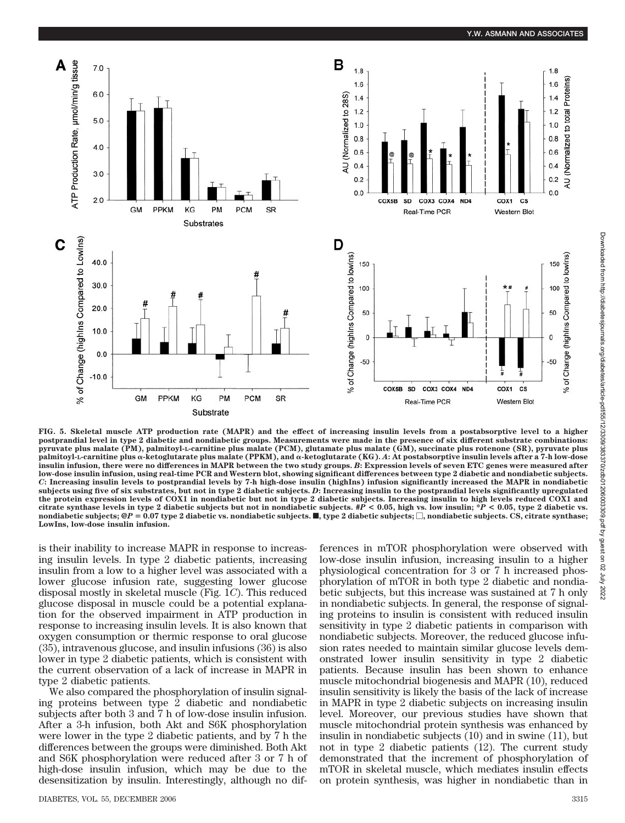

**FIG. 5. Skeletal muscle ATP production rate (MAPR) and the effect of increasing insulin levels from a postabsorptive level to a higher postprandial level in type 2 diabetic and nondiabetic groups. Measurements were made in the presence of six different substrate combinations: pyruvate plus malate (PM), palmitoyl-L-carnitine plus malate (PCM), glutamate plus malate (GM), succinate plus rotenone (SR), pyruvate plus** palmitoyl-L-carnitine plus α-ketoglutarate plus malate (PPKM), and α-ketoglutarate (KG). A: At postabsorptive insulin levels after a 7-h low-dose **insulin infusion, there were no differences in MAPR between the two study groups.** *B***: Expression levels of seven ETC genes were measured after low-dose insulin infusion, using real-time PCR and Western blot, showing significant differences between type 2 diabetic and nondiabetic subjects.** *C***: Increasing insulin levels to postprandial levels by 7-h high-dose insulin (highIns) infusion significantly increased the MAPR in nondiabetic subjects using five of six substrates, but not in type 2 diabetic subjects.** *D***: Increasing insulin to the postprandial levels significantly upregulated the protein expression levels of COX1 in nondiabetic but not in type 2 diabetic subjects. Increasing insulin to high levels reduced COX1 and citrate synthase levels in type 2 diabetic subjects but not in nondiabetic subjects. #***P* **< 0.05, high vs. low insulin; \****P* **< 0.05, type 2 diabetic vs.** nondiabetic subjects;  $\mathcal{Q}P = 0.07$  type 2 diabetic vs. nondiabetic subjects.  $\blacksquare$ , type 2 diabetic subjects;  $\Box$ , nondiabetic subjects. CS, citrate synthase; **LowIns, low-dose insulin infusion.**

is their inability to increase MAPR in response to increasing insulin levels. In type 2 diabetic patients, increasing insulin from a low to a higher level was associated with a lower glucose infusion rate, suggesting lower glucose disposal mostly in skeletal muscle (Fig. 1*C*). This reduced glucose disposal in muscle could be a potential explanation for the observed impairment in ATP production in response to increasing insulin levels. It is also known that oxygen consumption or thermic response to oral glucose (35), intravenous glucose, and insulin infusions (36) is also lower in type 2 diabetic patients, which is consistent with the current observation of a lack of increase in MAPR in type 2 diabetic patients.

We also compared the phosphorylation of insulin signaling proteins between type 2 diabetic and nondiabetic subjects after both 3 and 7 h of low-dose insulin infusion. After a 3-h infusion, both Akt and S6K phosphorylation were lower in the type 2 diabetic patients, and by 7 h the differences between the groups were diminished. Both Akt and S6K phosphorylation were reduced after 3 or 7 h of high-dose insulin infusion, which may be due to the desensitization by insulin. Interestingly, although no dif-

DIABETES, VOL. 55, DECEMBER 2006 3315

ferences in mTOR phosphorylation were observed with low-dose insulin infusion, increasing insulin to a higher physiological concentration for 3 or 7 h increased phosphorylation of mTOR in both type 2 diabetic and nondiabetic subjects, but this increase was sustained at 7 h only in nondiabetic subjects. In general, the response of signaling proteins to insulin is consistent with reduced insulin sensitivity in type 2 diabetic patients in comparison with nondiabetic subjects. Moreover, the reduced glucose infusion rates needed to maintain similar glucose levels demonstrated lower insulin sensitivity in type 2 diabetic patients. Because insulin has been shown to enhance muscle mitochondrial biogenesis and MAPR (10), reduced insulin sensitivity is likely the basis of the lack of increase in MAPR in type 2 diabetic subjects on increasing insulin level. Moreover, our previous studies have shown that muscle mitochondrial protein synthesis was enhanced by insulin in nondiabetic subjects (10) and in swine (11), but not in type 2 diabetic patients (12). The current study demonstrated that the increment of phosphorylation of mTOR in skeletal muscle, which mediates insulin effects on protein synthesis, was higher in nondiabetic than in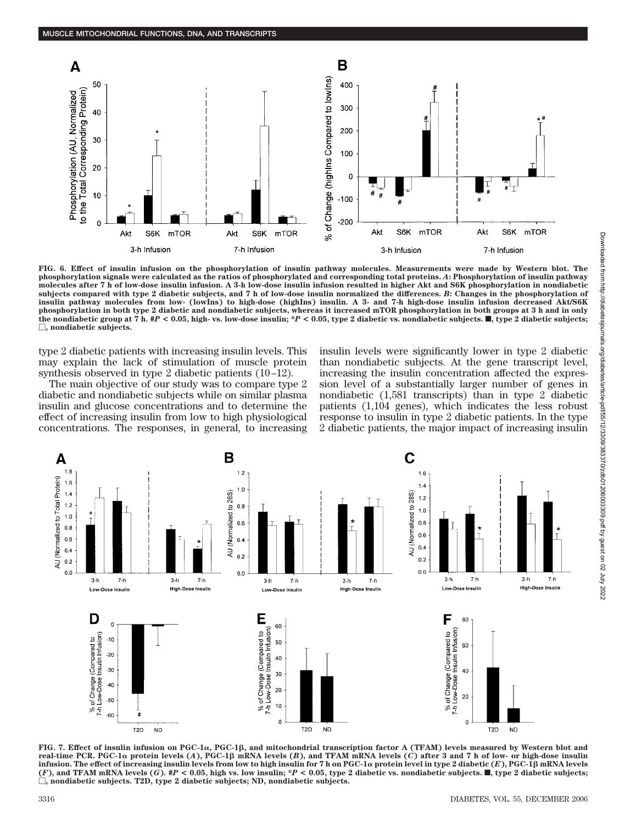

**FIG. 6. Effect of insulin infusion on the phosphorylation of insulin pathway molecules. Measurements were made by Western blot. The phosphorylation signals were calculated as the ratios of phosphorylated and corresponding total proteins.** *A***: Phosphorylation of insulin pathway molecules after 7 h of low-dose insulin infusion. A 3-h low-dose insulin infusion resulted in higher Akt and S6K phosphorylation in nondiabetic subjects compared with type 2 diabetic subjects, and 7 h of low-dose insulin normalized the differences.** *B***: Changes in the phosphorylation of insulin pathway molecules from low- (lowIns) to high-dose (highIns) insulin. A 3- and 7-h high-dose insulin infusion decreased Akt/S6K phosphorylation in both type 2 diabetic and nondiabetic subjects, whereas it increased mTOR phosphorylation in both groups at 3 h and in only** the nondiabetic group at  $\tilde{\tau}$  h.  $\#P$  < 0.05, high- vs. low-dose insulin;  $*P$  < 0.05, type 2 diabetic vs. nondiabetic subjects.  $\blacksquare$ , type 2 diabetic subjects; **, nondiabetic subjects.**

type 2 diabetic patients with increasing insulin levels. This may explain the lack of stimulation of muscle protein synthesis observed in type 2 diabetic patients (10–12).

The main objective of our study was to compare type 2 diabetic and nondiabetic subjects while on similar plasma insulin and glucose concentrations and to determine the effect of increasing insulin from low to high physiological concentrations. The responses, in general, to increasing insulin levels were significantly lower in type 2 diabetic than nondiabetic subjects. At the gene transcript level, increasing the insulin concentration affected the expression level of a substantially larger number of genes in nondiabetic (1,581 transcripts) than in type 2 diabetic patients (1,104 genes), which indicates the less robust response to insulin in type 2 diabetic patients. In the type 2 diabetic patients, the major impact of increasing insulin



FIG. 7. Effect of insulin infusion on PGC-1 $\alpha$ , PGC-1β, and mitochondrial transcription factor A (TFAM) levels measured by Western blot and **real-time PCR. PGC-1**- **protein levels (***A***), PGC-1 mRNA levels (***B***), and TFAM mRNA levels (***C***) after 3 and 7 h of low- or high-dose insulin** infusion. The effect of increasing insulin levels from low to high insulin for 7 h on PGC-1 $\alpha$  protein level in type 2 diabetic (*E*), PGC-1 $\beta$  mRNA levels (F), and TFAM mRNA levels (G). #P < 0.05, high vs. low insulin; \*P < 0.05, type 2 diabetic vs. nondiabetic subjects.  $\blacksquare$ , type 2 diabetic subjects; **, nondiabetic subjects. T2D, type 2 diabetic subjects; ND, nondiabetic subjects.**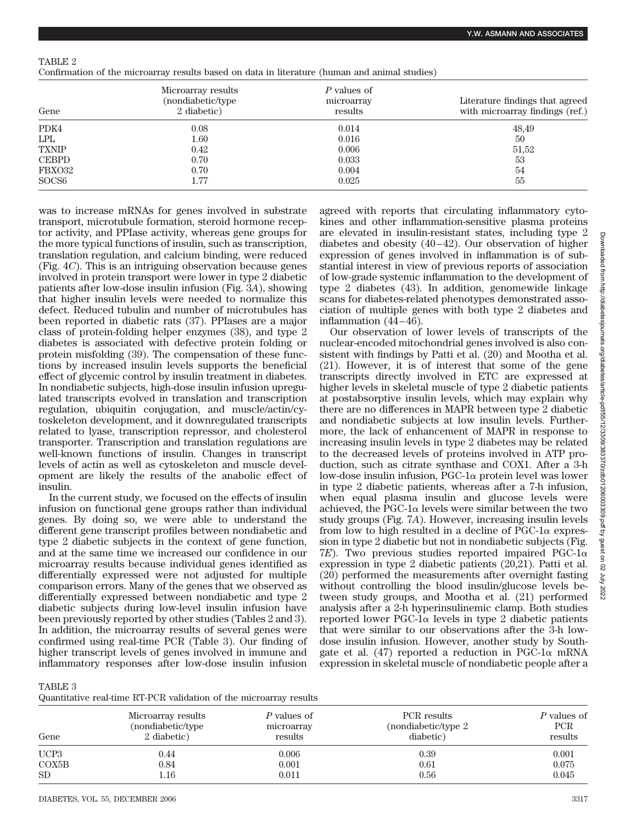| Confirmation of the microarray results based on data in literature (human and animal studies) |  |  |  |  |  |  |
|-----------------------------------------------------------------------------------------------|--|--|--|--|--|--|
|                                                                                               |  |  |  |  |  |  |

| Gene              | Microarray results<br>(nondiabetic/type)<br>2 diabetic) | P values of<br>microarray<br>results | Literature findings that agreed<br>with microarray findings (ref.) |
|-------------------|---------------------------------------------------------|--------------------------------------|--------------------------------------------------------------------|
| PDK4              | 0.08                                                    | 0.014                                | 48,49                                                              |
| <b>LPL</b>        | $1.60\,$                                                | 0.016                                | 50                                                                 |
| <b>TXNIP</b>      | 0.42                                                    | 0.006                                | 51,52                                                              |
| <b>CEBPD</b>      | 0.70                                                    | 0.033                                | 53                                                                 |
| FBXO32            | 0.70                                                    | 0.004                                | 54                                                                 |
| SOCS <sub>6</sub> | $1.77\,$                                                | 0.025                                | 55                                                                 |

was to increase mRNAs for genes involved in substrate transport, microtubule formation, steroid hormone receptor activity, and PPIase activity, whereas gene groups for the more typical functions of insulin, such as transcription, translation regulation, and calcium binding, were reduced (Fig. 4*C*). This is an intriguing observation because genes involved in protein transport were lower in type 2 diabetic patients after low-dose insulin infusion (Fig. 3*A*), showing that higher insulin levels were needed to normalize this defect. Reduced tubulin and number of microtubules has been reported in diabetic rats (37). PPIases are a major class of protein-folding helper enzymes (38), and type 2 diabetes is associated with defective protein folding or protein misfolding (39). The compensation of these functions by increased insulin levels supports the beneficial effect of glycemic control by insulin treatment in diabetes. In nondiabetic subjects, high-dose insulin infusion upregulated transcripts evolved in translation and transcription regulation, ubiquitin conjugation, and muscle/actin/cytoskeleton development, and it downregulated transcripts related to lyase, transcription repressor, and cholesterol transporter. Transcription and translation regulations are well-known functions of insulin. Changes in transcript levels of actin as well as cytoskeleton and muscle development are likely the results of the anabolic effect of insulin.

In the current study, we focused on the effects of insulin infusion on functional gene groups rather than individual genes. By doing so, we were able to understand the different gene transcript profiles between nondiabetic and type 2 diabetic subjects in the context of gene function, and at the same time we increased our confidence in our microarray results because individual genes identified as differentially expressed were not adjusted for multiple comparison errors. Many of the genes that we observed as differentially expressed between nondiabetic and type 2 diabetic subjects during low-level insulin infusion have been previously reported by other studies (Tables 2 and 3). In addition, the microarray results of several genes were confirmed using real-time PCR (Table 3). Our finding of higher transcript levels of genes involved in immune and inflammatory responses after low-dose insulin infusion agreed with reports that circulating inflammatory cytokines and other inflammation-sensitive plasma proteins are elevated in insulin-resistant states, including type 2 diabetes and obesity (40–42). Our observation of higher expression of genes involved in inflammation is of substantial interest in view of previous reports of association of low-grade systemic inflammation to the development of type 2 diabetes (43). In addition, genomewide linkage scans for diabetes-related phenotypes demonstrated association of multiple genes with both type 2 diabetes and inflammation (44–46).

Our observation of lower levels of transcripts of the nuclear-encoded mitochondrial genes involved is also consistent with findings by Patti et al. (20) and Mootha et al. (21). However, it is of interest that some of the gene transcripts directly involved in ETC are expressed at higher levels in skeletal muscle of type 2 diabetic patients at postabsorptive insulin levels, which may explain why there are no differences in MAPR between type 2 diabetic and nondiabetic subjects at low insulin levels. Furthermore, the lack of enhancement of MAPR in response to increasing insulin levels in type 2 diabetes may be related to the decreased levels of proteins involved in ATP production, such as citrate synthase and COX1. After a 3-h low-dose insulin infusion,  $PGC-1\alpha$  protein level was lower in type 2 diabetic patients, whereas after a 7-h infusion, when equal plasma insulin and glucose levels were achieved, the PGC-1 $\alpha$  levels were similar between the two study groups (Fig. 7*A*). However, increasing insulin levels from low to high resulted in a decline of  $PGC-1\alpha$  expression in type 2 diabetic but not in nondiabetic subjects (Fig.  $7E$ ). Two previous studies reported impaired PGC-1 $\alpha$ expression in type 2 diabetic patients (20,21). Patti et al. (20) performed the measurements after overnight fasting without controlling the blood insulin/glucose levels between study groups, and Mootha et al. (21) performed analysis after a 2-h hyperinsulinemic clamp. Both studies reported lower PGC-1 $\alpha$  levels in type 2 diabetic patients that were similar to our observations after the 3-h lowdose insulin infusion. However, another study by Southgate et al. (47) reported a reduction in PGC-1 $\alpha$  mRNA expression in skeletal muscle of nondiabetic people after a

TABLE 3

| Gene             | Microarray results<br>(nondiabetic/type)<br>2 diabetic) | P values of<br>microarray<br>results | PCR results<br>(nondiabetic/type 2<br>diabetic) | P values of<br>PCR<br>results |
|------------------|---------------------------------------------------------|--------------------------------------|-------------------------------------------------|-------------------------------|
| UCP <sub>3</sub> | 0.44                                                    | 0.006                                | 0.39                                            | 0.001                         |
| COX5B            | 0.84                                                    | 0.001                                | 0.61                                            | 0.075                         |
| SD <sub>1</sub>  | $1.16\,$                                                | 0.011                                | 0.56                                            | 0.045                         |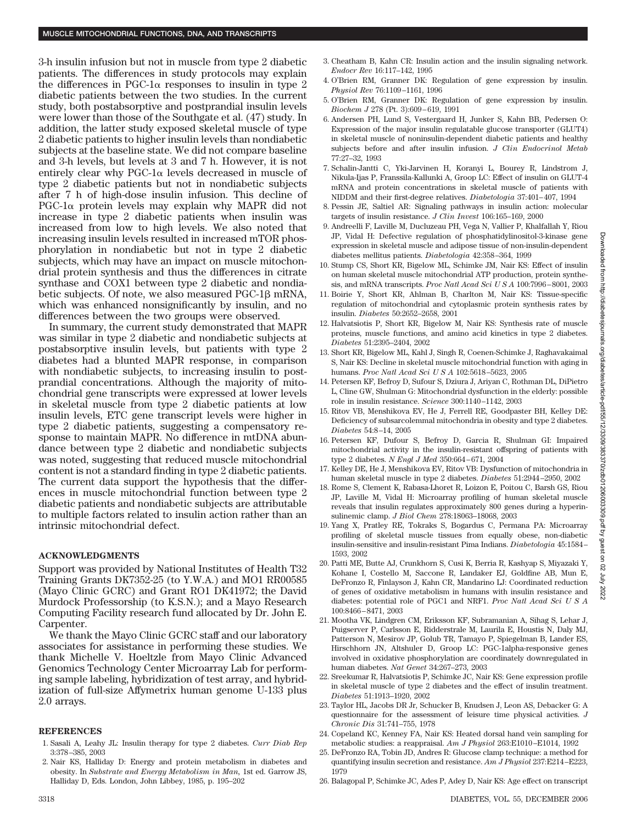3-h insulin infusion but not in muscle from type 2 diabetic patients. The differences in study protocols may explain the differences in PGC-1 $\alpha$  responses to insulin in type 2 diabetic patients between the two studies. In the current study, both postabsorptive and postprandial insulin levels were lower than those of the Southgate et al. (47) study. In addition, the latter study exposed skeletal muscle of type 2 diabetic patients to higher insulin levels than nondiabetic subjects at the baseline state. We did not compare baseline and 3-h levels, but levels at 3 and 7 h. However, it is not entirely clear why PGC-1 $\alpha$  levels decreased in muscle of type 2 diabetic patients but not in nondiabetic subjects after 7 h of high-dose insulin infusion. This decline of  $PGC-1\alpha$  protein levels may explain why MAPR did not increase in type 2 diabetic patients when insulin was increased from low to high levels. We also noted that increasing insulin levels resulted in increased mTOR phosphorylation in nondiabetic but not in type 2 diabetic subjects, which may have an impact on muscle mitochondrial protein synthesis and thus the differences in citrate synthase and COX1 between type 2 diabetic and nondiabetic subjects. Of note, we also measured PGC-1 mRNA, which was enhanced nonsignificantly by insulin, and no differences between the two groups were observed.

In summary, the current study demonstrated that MAPR was similar in type 2 diabetic and nondiabetic subjects at postabsorptive insulin levels, but patients with type 2 diabetes had a blunted MAPR response, in comparison with nondiabetic subjects, to increasing insulin to postprandial concentrations. Although the majority of mitochondrial gene transcripts were expressed at lower levels in skeletal muscle from type 2 diabetic patients at low insulin levels, ETC gene transcript levels were higher in type 2 diabetic patients, suggesting a compensatory response to maintain MAPR. No difference in mtDNA abundance between type 2 diabetic and nondiabetic subjects was noted, suggesting that reduced muscle mitochondrial content is not a standard finding in type 2 diabetic patients. The current data support the hypothesis that the differences in muscle mitochondrial function between type 2 diabetic patients and nondiabetic subjects are attributable to multiple factors related to insulin action rather than an intrinsic mitochondrial defect.

## **ACKNOWLEDGMENTS**

Support was provided by National Institutes of Health T32 Training Grants DK7352-25 (to Y.W.A.) and MO1 RR00585 (Mayo Clinic GCRC) and Grant RO1 DK41972; the David Murdock Professorship (to K.S.N.); and a Mayo Research Computing Facility research fund allocated by Dr. John E. Carpenter.

We thank the Mayo Clinic GCRC staff and our laboratory associates for assistance in performing these studies. We thank Michelle V. Hoeltzle from Mayo Clinic Advanced Genomics Technology Center Microarray Lab for performing sample labeling, hybridization of test array, and hybridization of full-size Affymetrix human genome U-133 plus 2.0 arrays.

### **REFERENCES**

- 1. Sasali A, Leahy JL: Insulin therapy for type 2 diabetes. *Curr Diab Rep* 3:378–385, 2003
- 2. Nair KS, Halliday D: Energy and protein metabolism in diabetes and obesity. In *Substrate and Energy Metabolism in Man,* 1st ed. Garrow JS, Halliday D, Eds. London, John Libbey, 1985, p. 195–202
- 3. Cheatham B, Kahn CR: Insulin action and the insulin signaling network. *Endocr Rev* 16:117–142, 1995
- 4. O'Brien RM, Granner DK: Regulation of gene expression by insulin. *Physiol Rev* 76:1109–1161, 1996
- 5. O'Brien RM, Granner DK: Regulation of gene expression by insulin. *Biochem J* 278 (Pt. 3):609–619, 1991
- 6. Andersen PH, Lund S, Vestergaard H, Junker S, Kahn BB, Pedersen O: Expression of the major insulin regulatable glucose transporter (GLUT4) in skeletal muscle of noninsulin-dependent diabetic patients and healthy subjects before and after insulin infusion. *J Clin Endocrinol Metab* 77:27–32, 1993
- 7. Schalin-Jantti C, Yki-Jarvinen H, Koranyi L, Bourey R, Lindstrom J, Nikula-Ijas P, Franssila-Kallunki A, Groop LC: Effect of insulin on GLUT-4 mRNA and protein concentrations in skeletal muscle of patients with NIDDM and their first-degree relatives. *Diabetologia* 37:401–407, 1994
- 8. Pessin JE, Saltiel AR: Signaling pathways in insulin action: molecular targets of insulin resistance. *J Clin Invest* 106:165–169, 2000
- 9. Andreelli F, Laville M, Ducluzeau PH, Vega N, Vallier P, Khalfallah Y, Riou JP, Vidal H: Defective regulation of phosphatidylinositol-3-kinase gene expression in skeletal muscle and adipose tissue of non-insulin-dependent diabetes mellitus patients. *Diabetologia* 42:358–364, 1999
- 10. Stump CS, Short KR, Bigelow ML, Schimke JM, Nair KS: Effect of insulin on human skeletal muscle mitochondrial ATP production, protein synthesis, and mRNA transcripts. *Proc Natl Acad SciUSA* 100:7996–8001, 2003
- 11. Boirie Y, Short KR, Ahlman B, Charlton M, Nair KS: Tissue-specific regulation of mitochondrial and cytoplasmic protein synthesis rates by insulin. *Diabetes* 50:2652–2658, 2001
- 12. Halvatsiotis P, Short KR, Bigelow M, Nair KS: Synthesis rate of muscle proteins, muscle functions, and amino acid kinetics in type 2 diabetes. *Diabetes* 51:2395–2404, 2002
- 13. Short KR, Bigelow ML, Kahl J, Singh R, Coenen-Schimke J, Raghavakaimal S, Nair KS: Decline in skeletal muscle mitochondrial function with aging in humans. *Proc Natl Acad SciUSA* 102:5618–5623, 2005
- 14. Petersen KF, Befroy D, Sufour S, Dziura J, Ariyan C, Rothman DL, DiPietro L, Cline GW, Shulman G: Mitochondrial dysfunction in the elderly: possible role in insulin resistance. *Science* 300:1140–1142, 2003
- 15. Ritov VB, Menshikova EV, He J, Ferrell RE, Goodpaster BH, Kelley DE: Deficiency of subsarcolemmal mitochondria in obesity and type 2 diabetes. *Diabetes* 54:8–14, 2005
- 16. Petersen KF, Dufour S, Befroy D, Garcia R, Shulman GI: Impaired mitochondrial activity in the insulin-resistant offspring of patients with type 2 diabetes. *N Engl J Med* 350:664–671, 2004
- 17. Kelley DE, He J, Menshikova EV, Ritov VB: Dysfunction of mitochondria in human skeletal muscle in type 2 diabetes. *Diabetes* 51:2944–2950, 2002
- 18. Rome S, Clement K, Rabasa-Lhoret R, Loizon E, Poitou C, Barsh GS, Riou JP, Laville M, Vidal H: Microarray profiling of human skeletal muscle reveals that insulin regulates approximately 800 genes during a hyperinsulinemic clamp. *J Biol Chem* 278:18063–18068, 2003
- 19. Yang X, Pratley RE, Tokraks S, Bogardus C, Permana PA: Microarray profiling of skeletal muscle tissues from equally obese, non-diabetic insulin-sensitive and insulin-resistant Pima Indians. *Diabetologia* 45:1584– 1593, 2002
- 20. Patti ME, Butte AJ, Crunkhorn S, Cusi K, Berria R, Kashyap S, Miyazaki Y, Kohane I, Costello M, Saccone R, Landaker EJ, Goldfine AB, Mun E, DeFronzo R, Finlayson J, Kahn CR, Mandarino LJ: Coordinated reduction of genes of oxidative metabolism in humans with insulin resistance and diabetes: potential role of PGC1 and NRF1. *Proc Natl Acad SciUSA* 100:8466–8471, 2003
- 21. Mootha VK, Lindgren CM, Eriksson KF, Subramanian A, Sihag S, Lehar J, Puigserver P, Carlsson E, Ridderstrale M, Laurila E, Houstis N, Daly MJ, Patterson N, Mesirov JP, Golub TR, Tamayo P, Spiegelman B, Lander ES, Hirschhorn JN, Altshuler D, Groop LC: PGC-1alpha-responsive genes involved in oxidative phosphorylation are coordinately downregulated in human diabetes. *Nat Genet* 34:267–273, 2003
- 22. Sreekumar R, Halvatsiotis P, Schimke JC, Nair KS: Gene expression profile in skeletal muscle of type 2 diabetes and the effect of insulin treatment. *Diabetes* 51:1913–1920, 2002
- 23. Taylor HL, Jacobs DR Jr, Schucker B, Knudsen J, Leon AS, Debacker G: A questionnaire for the assessment of leisure time physical activities. *J Chronic Dis* 31:741–755, 1978
- 24. Copeland KC, Kenney FA, Nair KS: Heated dorsal hand vein sampling for metabolic studies: a reappraisal. *Am J Physiol* 263:E1010–E1014, 1992
- 25. DeFronzo RA, Tobin JD, Andres R: Glucose clamp technique: a method for quantifying insulin secretion and resistance. *Am J Physiol* 237:E214–E223, 1979
- 26. Balagopal P, Schimke JC, Ades P, Adey D, Nair KS: Age effect on transcript